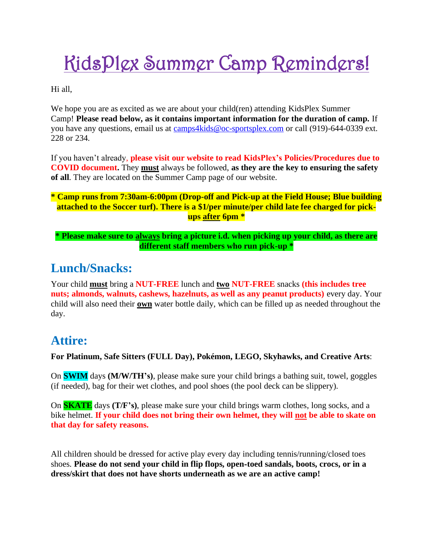# KidsPlex Summer Camp Reminders!

Hi all,

We hope you are as excited as we are about your child(ren) attending KidsPlex Summer Camp! **Please read below, as it contains important information for the duration of camp.** If you have any questions, email us at [camps4kids@oc-sportsplex.com](mailto:camps4kids@oc-sportsplex.com) or call (919)-644-0339 ext. 228 or 234.

If you haven't already, **please visit our website to read KidsPlex's Policies/Procedures due to COVID document.** They **must** always be followed, **as they are the key to ensuring the safety of all**. They are located on the Summer Camp page of our website.

#### **\* Camp runs from 7:30am-6:00pm (Drop-off and Pick-up at the Field House; Blue building**  attached to the Soccer turf). There is a \$1/per minute/per child late fee charged for pick**ups after 6pm \***

**\* Please make sure to always bring a picture i.d. when picking up your child, as there are different staff members who run pick-up \***

### **Lunch/Snacks:**

Your child **must** bring a **NUT-FREE** lunch and **two NUT-FREE** snacks **(this includes tree nuts; almonds, walnuts, cashews, hazelnuts, as well as any peanut products)** every day. Your child will also need their **own** water bottle daily, which can be filled up as needed throughout the day.

#### **Attire:**

**For Platinum, Safe Sitters (FULL Day), Pokémon, LEGO, Skyhawks, and Creative Arts**:

On **SWIM** days **(M/W/TH's)**, please make sure your child brings a bathing suit, towel, goggles (if needed), bag for their wet clothes, and pool shoes (the pool deck can be slippery).

On **SKATE** days **(T/F's)**, please make sure your child brings warm clothes, long socks, and a bike helmet. **If your child does not bring their own helmet, they will not be able to skate on that day for safety reasons.**

All children should be dressed for active play every day including tennis/running/closed toes shoes. **Please do not send your child in flip flops, open**‐**toed sandals, boots, crocs, or in a dress/skirt that does not have shorts underneath as we are an active camp!**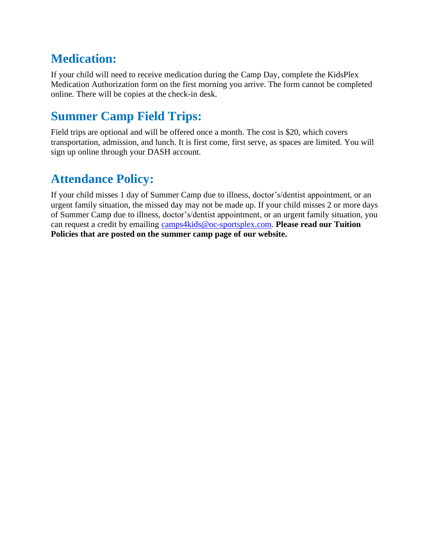# **Medication:**

If your child will need to receive medication during the Camp Day, complete the KidsPlex Medication Authorization form on the first morning you arrive. The form cannot be completed online. There will be copies at the check-in desk.

# **Summer Camp Field Trips:**

Field trips are optional and will be offered once a month. The cost is \$20, which covers transportation, admission, and lunch. It is first come, first serve, as spaces are limited. You will sign up online through your DASH account.

# **Attendance Policy:**

If your child misses 1 day of Summer Camp due to illness, doctor's/dentist appointment, or an urgent family situation, the missed day may not be made up. If your child misses 2 or more days of Summer Camp due to illness, doctor's/dentist appointment, or an urgent family situation, you can request a credit by emailing [camps4kids@oc-sportsplex.com.](mailto:camps4kids@oc-sportsplex.com) **Please read our Tuition Policies that are posted on the summer camp page of our website.**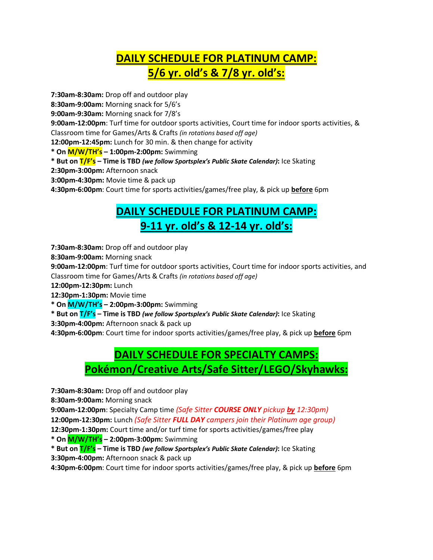## **DAILY SCHEDULE FOR PLATINUM CAMP: 5/6 yr. old's & 7/8 yr. old's:**

**7:30am-8:30am:** Drop off and outdoor play

**8:30am-9:00am:** Morning snack for 5/6's

**9:00am-9:30am:** Morning snack for 7/8's

**9:00am-12:00pm**: Turf time for outdoor sports activities, Court time for indoor sports activities, & Classroom time for Games/Arts & Crafts *(in rotations based off age)*

**12:00pm-12:45pm:** Lunch for 30 min. & then change for activity

**\* On M/W/TH's – 1:00pm-2:00pm:** Swimming

**\* But on T/F's – Time is TBD** *(we follow Sportsplex's Public Skate Calendar)***:** Ice Skating

**2:30pm-3:00pm:** Afternoon snack

**3:00pm-4:30pm:** Movie time & pack up

**4:30pm-6:00pm**: Court time for sports activities/games/free play, & pick up **before** 6pm

#### **DAILY SCHEDULE FOR PLATINUM CAMP: 9-11 yr. old's & 12-14 yr. old's:**

**7:30am-8:30am:** Drop off and outdoor play

**8:30am-9:00am:** Morning snack

**9:00am-12:00pm**: Turf time for outdoor sports activities, Court time for indoor sports activities, and Classroom time for Games/Arts & Crafts *(in rotations based off age)*

**12:00pm-12:30pm:** Lunch

**12:30pm-1:30pm:** Movie time

**\* On M/W/TH's – 2:00pm-3:00pm:** Swimming

**\* But on T/F's – Time is TBD** *(we follow Sportsplex's Public Skate Calendar)***:** Ice Skating

**3:30pm-4:00pm:** Afternoon snack & pack up

**4:30pm-6:00pm**: Court time for indoor sports activities/games/free play, & pick up **before** 6pm

## **DAILY SCHEDULE FOR SPECIALTY CAMPS: Pokémon/Creative Arts/Safe Sitter/LEGO/Skyhawks:**

**7:30am-8:30am:** Drop off and outdoor play

**8:30am-9:00am:** Morning snack

**9:00am-12:00pm**: Specialty Camp time *(Safe Sitter COURSE ONLY pickup by 12:30pm)*

**12:00pm-12:30pm:** Lunch *(Safe Sitter FULL DAY campers join their Platinum age group)*

**12:30pm-1:30pm:** Court time and/or turf time for sports activities/games/free play

**\* On M/W/TH's – 2:00pm-3:00pm:** Swimming

**\* But on T/F's – Time is TBD** *(we follow Sportsplex's Public Skate Calendar)***:** Ice Skating

**3:30pm-4:00pm:** Afternoon snack & pack up

**4:30pm-6:00pm**: Court time for indoor sports activities/games/free play, & pick up **before** 6pm